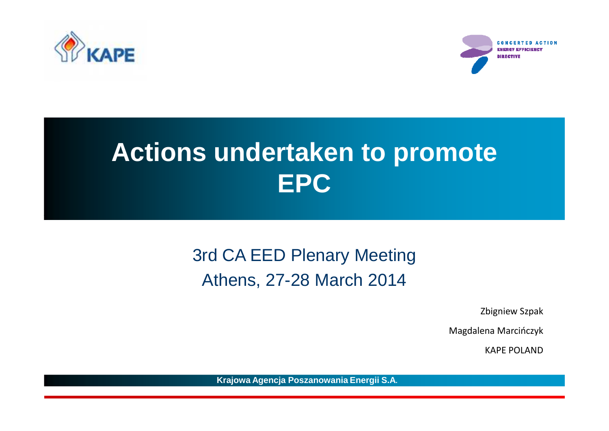

**CONCERTED ACTION** nio eesi

## **Actions undertaken to promote . EPC**

### 3rd CA EED Plenary MeetingAthens, 27-28 March 2014

Zbigniew Szpak

Magdalena Marcińczyk

KAPE POLAND

**Krajowa Agencja Poszanowania Energii S.A.**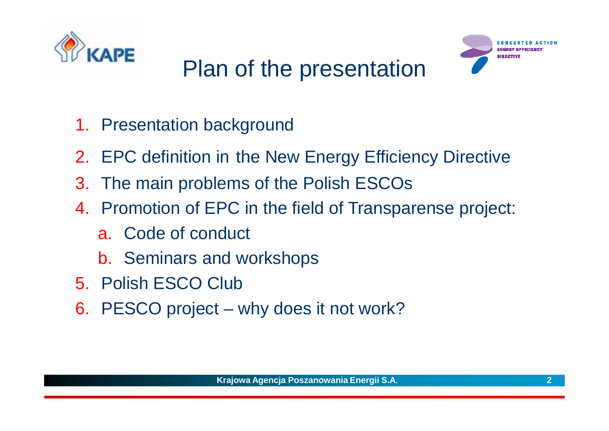

## Plan of the presentation



- 1. Presentation background
- 2. EPC definition in the New Energy Efficiency Directive
- 3. The main problems of the Polish ESCOs
- 4. Promotion of EPC in the field of Transparense project:
	- a. Code of conduct
	- b. Seminars and workshops
- 5. Polish ESCO Club
- 6. PESCO project why does it not work?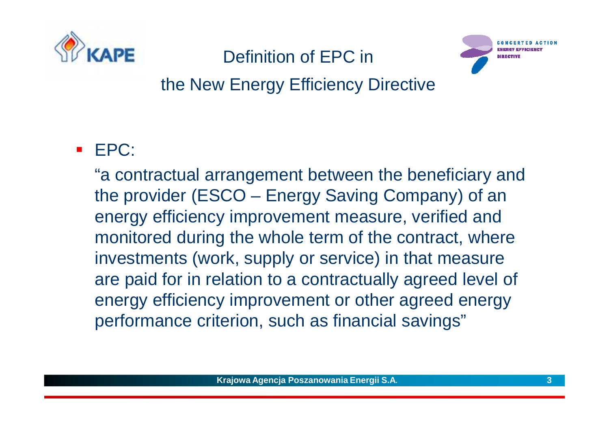

### Definition of EPC in



### the New Energy Efficiency Directive

#### $\blacksquare$ EPC:

"a contractual arrangement between the beneficiary and the provider (ESCO – Energy Saving Company) of an energy efficiency improvement measure, verified and monitored during the whole term of the contract, where investments (work, supply or service) in that measure are paid for in relation to a contractually agreed level of energy efficiency improvement or other agreed energy performance criterion, such as financial savings"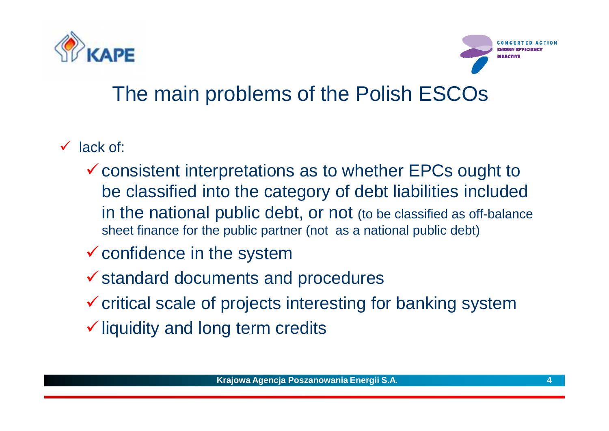



### The main problems of the Polish ESCOs

- $\checkmark$  lack of:
	- -consistent interpretations as to whether EPCs ought to be classified into the category of debt liabilities included in the national public debt, or not (to be classified as off-balance sheet finance for the public partner (not as a national public debt)
	- $\checkmark$  confidence in the system
	- $\checkmark$  standard documents and procedures
	- $\checkmark$  critical scale of projects interesting for banking system
	- $\checkmark$  liquidity and long term credits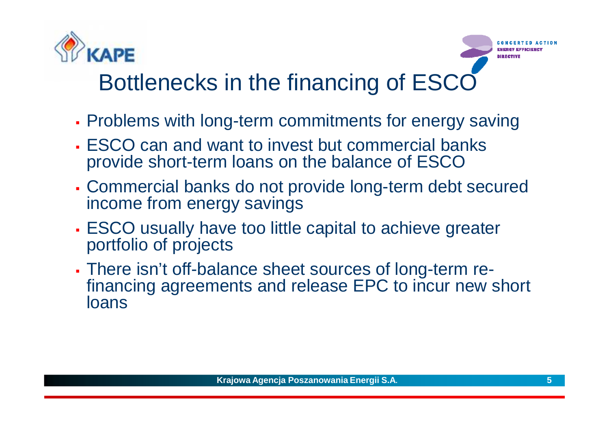

### Bottlenecks in the financing of ESCC

- Г Problems with long-term commitments for energy saving
- Г ESCO can and want to invest but commercial banks provide short-term loans on the balance of ESCO
- Г Commercial banks do not provide long-term debt securedincome from energy savings<br>Esses
- L ESCO usually have too little capital to achieve greaterportfolio of projects
- L There isn't off-balance sheet sources of long-term refinancing agreements and release EPC to incur new short<br>loans loans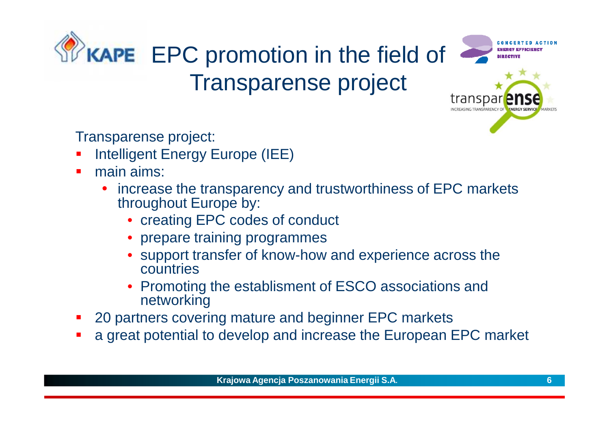



Transparense project:

- τ Intelligent Energy Europe (IEE)
- $\blacksquare$  main aims:
	- $\bullet$  increase the transparency and trustworthiness of EPC markets throughout Europe by:
		- creating EPC codes of conduct
		- prepare training programmes
		- support transfer of know-how and experience across the countries
		- Promoting the establisment of ESCO associations and networking
- 20 partners covering mature and beginner EPC markets **Service Service**
- **a** great potential to develop and increase the European EPC market **Service Service**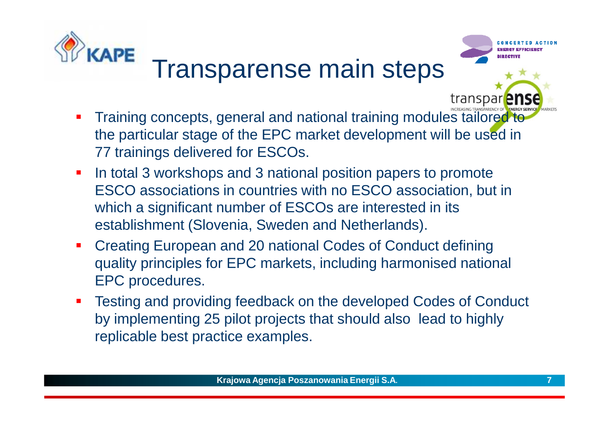

# Transparense main steps



transpar<sup>2</sup>

#### $\blacksquare$  Training concepts, general and national training modules tailored to the particular stage of the EPC market development will be used in 77 trainings delivered for ESCOs.

- $\blacksquare$  In total 3 workshops and 3 national position papers to promote ESCO associations in countries with no ESCO association, but in which a significant number of ESCOs are interested in its establishment (Slovenia, Sweden and Netherlands).
- $\blacksquare$  Creating European and 20 national Codes of Conduct defining quality principles for EPC markets, including harmonised national EPC procedures.
- $\mathcal{L}_{\mathcal{A}}$  Testing and providing feedback on the developed Codes of Conduct by implementing 25 pilot projects that should also lead to highly replicable best practice examples.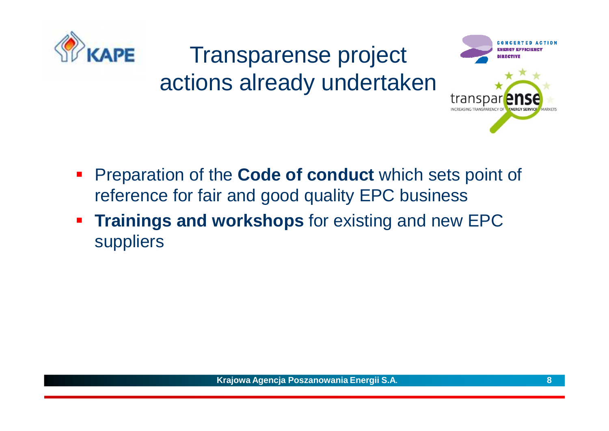

### Transparense projectactions already undertaken



- $\mathcal{L}_{\mathcal{A}}$ **Preparation of the Code of conduct** which sets point of reference for fair and good quality EPC business
- $\mathcal{L}_{\mathcal{A}}$ **Trainings and workshops** for existing and new EPC suppliers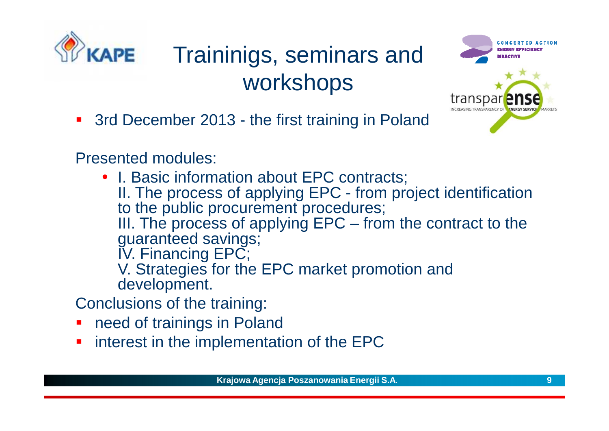

### Traininigs, seminars and workshops



- **3rd December 2013 the first training in Poland**
- Presented modules:
	- I. Basic information about EPC contracts; II. The process of applying EPC - from project identification to the public procurement procedures;<br>III, The processe of applying FBC stron III. The process of applying EPC  $\mathcal{L}_{\mathcal{A}}$  $-$  from the contract to the guaranteed savings;IV. Financing EPC; V. Strategies for the EPC market promotion and
		- development.

Conclusions of the training:

- F need of trainings in Poland
- L. interest in the implementation of the EPC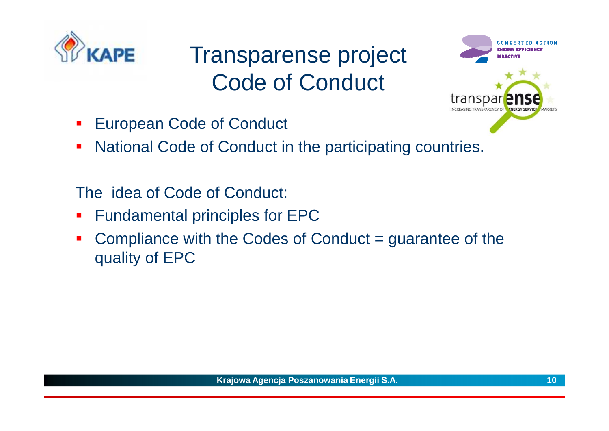

## Transparense project Code of Conduct



- $\mathcal{L}_{\mathcal{A}}$ European Code of Conduct
- $\mathcal{L}_{\mathcal{A}}$ National Code of Conduct in the participating countries.

The idea of Code of Conduct:

- $\mathcal{L}_{\mathcal{A}}$ Fundamental principles for EPC
- Compliance with the Codes of Conduct = guarantee of the  $\mathcal{L}_{\mathcal{A}}$ quality of EPC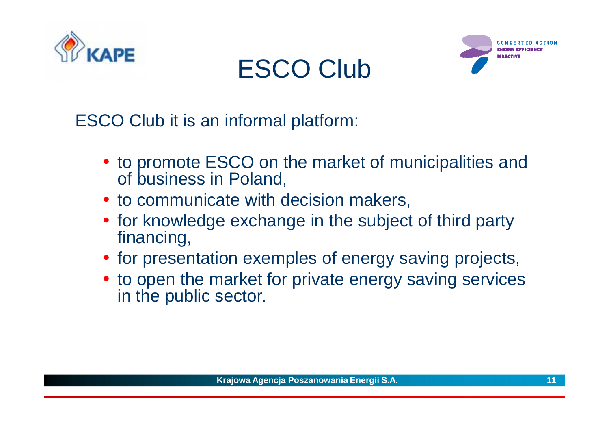

## ESCO Club



ESCO Club it is an informal platform:

- to promote ESCO on the market of municipalities and of business in Poland,
- to communicate with decision makers,
- for knowledge exchange in the subject of third party financing,
- for presentation exemples of energy saving projects,
- to open the market for private energy saving services in the public sector.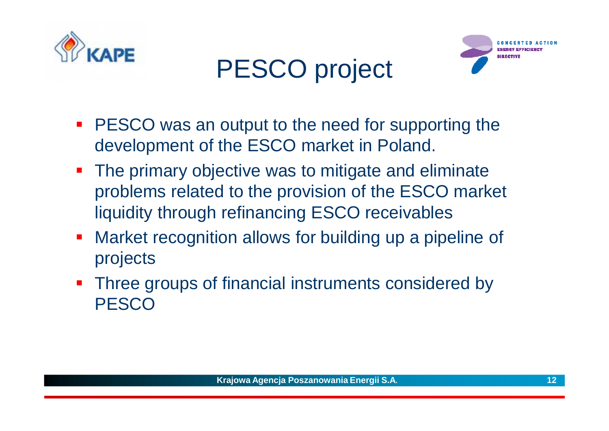

## PESCO project



- **PESCO** was an output to the need for supporting the development of the ESCO market in Poland.
- **The primary objective was to mitigate and eliminate** problems related to the provision of the ESCO market liquidity through refinancing ESCO receivables
- $\mathcal{L}_{\text{max}}$  Market recognition allows for building up a pipeline of projects
- Three groups of financial instruments considered by **PESCO**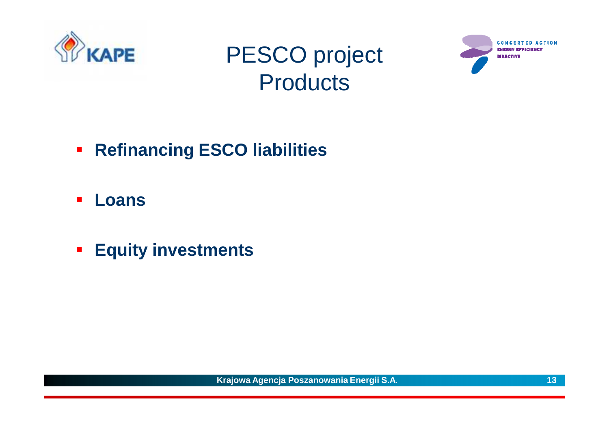

### PESCO project**Products**



- **Refinancing ESCO liabilities**
- $\overline{\mathcal{L}}$ **Loans**
- **Equity investments**

**Krajowa Agencja Poszanowania Energii S.A. 13**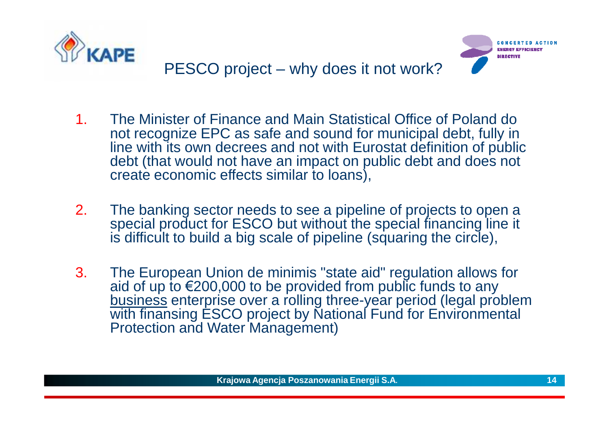



- 1. The Minister of Finance and Main Statistical Office of Poland do not recognize EPC as safe and sound for municipal debt, fully in line with its own decrees and not with Eurostat definition of public debt (that would not have an impact on public debt and does not create economic effects similar to loans),
- 2.The banking sector needs to see a pipeline of projects to open a<br>consolel product for ESCO but without the enecial financing line it. special product for ESCO but without the special financing line it is difficult to build a big scale of pipeline (squaring the circle),
- 3. The European Union de minimis "state aid" regulation allows for aid of up to €200,000 to be provided from public funds to any business enterprise over a rolling three-year period (legal problem with finansing ESCO project by National Fund for Environmental Protection and Water Management)